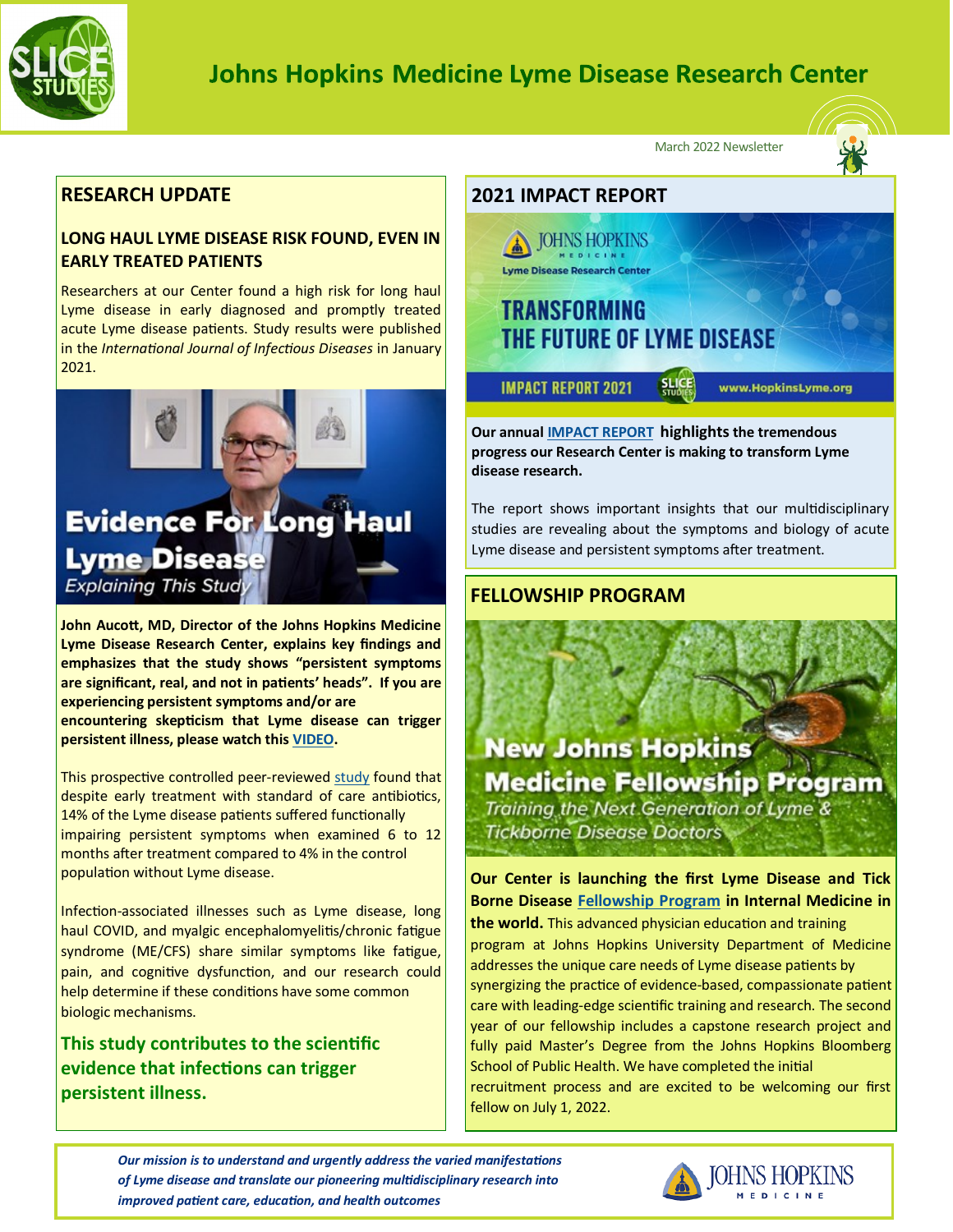

# **Johns Hopkins Medicine Lyme Disease Research Center**

March 2022 Newsletter

# **RESEARCH UPDATE**

# **LONG HAUL LYME DISEASE RISK FOUND, EVEN IN EARLY TREATED PATIENTS**

Researchers at our Center found a high risk for long haul Lyme disease in early diagnosed and promptly treated acute Lyme disease patients. Study results were published in the *International Journal of Infectious Diseases* in January 2021.



**Lyme Disease Research Center, explains key findings and emphasizes that the study shows "persistent symptoms are significant, real, and not in patients' heads". If you are experiencing persistent symptoms and/or are encountering skepticism that Lyme disease can trigger persistent illness, please watch this [VIDEO.](https://www.hopkinslyme.org/news/risk-of-post-treatment-lyme-disease-in-patients-with-early-diagnosed-and-promptly-treated-lyme-disease-a-prospective-cohort-study/)**

This prospective controlled peer-reviewed [study](https://www.ijidonline.com/article/S1201-9712(22)00035-2/fulltext) found that despite early treatment with standard of care antibiotics, 14% of the Lyme disease patients suffered functionally impairing persistent symptoms when examined 6 to 12 months after treatment compared to 4% in the control population without Lyme disease.

Infection-associated illnesses such as Lyme disease, long haul COVID, and myalgic encephalomyelitis/chronic fatigue syndrome (ME/CFS) share similar symptoms like fatigue, pain, and cognitive dysfunction, and our research could help determine if these conditions have some common biologic mechanisms.

# **This study contributes to the scientific evidence that infections can trigger persistent illness.**



**Our annual [IMPACT REPORT](https://www.hopkinslyme.org/news-impact/impact-report/) highlightsthe tremendous progress our Research Center is making to transform Lyme disease research.** 

The report shows important insights that our multidisciplinary studies are revealing about the symptoms and biology of acute Lyme disease and persistent symptoms after treatment.

# **FELLOWSHIP PROGRAM**

**New Johns Hopkins Medicine Fellowship Program** Training the Next Generation of Lyme & **Tickborne Disease Doctors** 

**Our Center is launching the first Lyme Disease and Tick Borne Disease [Fellowship Program](https://www.hopkinslyme.org/about-the-center/johns-hopkins-medicine-fellowship-program/) in Internal Medicine in the world.** This advanced physician education and training program at Johns Hopkins University Department of Medicine addresses the unique care needs of Lyme disease patients by synergizing the practice of evidence-based, compassionate patient care with leading-edge scientific training and research. The second year of our fellowship includes a capstone research project and fully paid Master's Degree from the Johns Hopkins Bloomberg School of Public Health. We have completed the initial recruitment process and are excited to be welcoming our first fellow on July 1, 2022.

*Our mission is to understand and urgently address the varied manifestations of Lyme disease and translate our pioneering multidisciplinary research into improved patient care, education, and health outcomes*